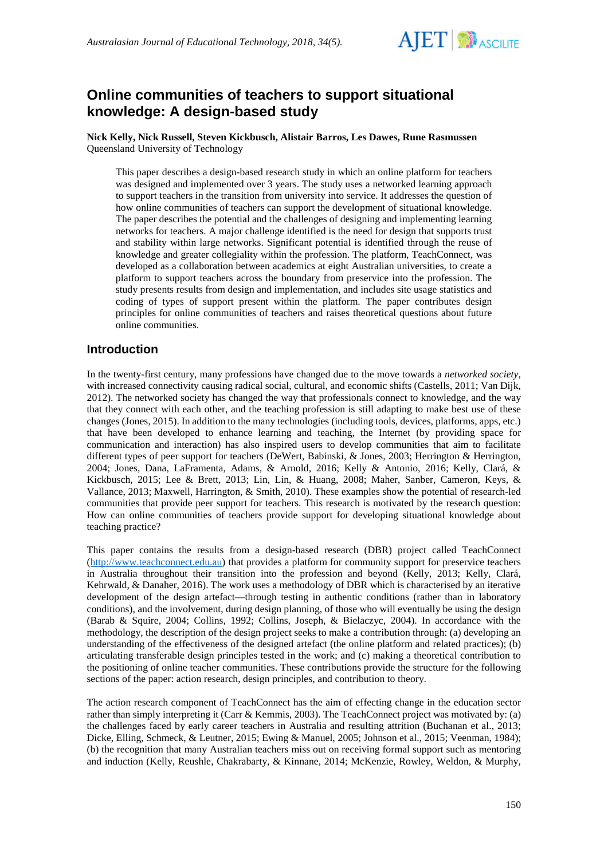

# **Online communities of teachers to support situational knowledge: A design-based study**

**Nick Kelly, Nick Russell, Steven Kickbusch, Alistair Barros, Les Dawes, Rune Rasmussen** Queensland University of Technology

This paper describes a design-based research study in which an online platform for teachers was designed and implemented over 3 years. The study uses a networked learning approach to support teachers in the transition from university into service. It addresses the question of how online communities of teachers can support the development of situational knowledge. The paper describes the potential and the challenges of designing and implementing learning networks for teachers. A major challenge identified is the need for design that supports trust and stability within large networks. Significant potential is identified through the reuse of knowledge and greater collegiality within the profession. The platform, TeachConnect, was developed as a collaboration between academics at eight Australian universities, to create a platform to support teachers across the boundary from preservice into the profession. The study presents results from design and implementation, and includes site usage statistics and coding of types of support present within the platform. The paper contributes design principles for online communities of teachers and raises theoretical questions about future online communities.

## **Introduction**

In the twenty-first century, many professions have changed due to the move towards a *networked society*, with increased connectivity causing radical social, cultural, and economic shifts (Castells, 2011; Van Dijk, 2012). The networked society has changed the way that professionals connect to knowledge, and the way that they connect with each other, and the teaching profession is still adapting to make best use of these changes (Jones, 2015). In addition to the many technologies (including tools, devices, platforms, apps, etc.) that have been developed to enhance learning and teaching, the Internet (by providing space for communication and interaction) has also inspired users to develop communities that aim to facilitate different types of peer support for teachers (DeWert, Babinski, & Jones, 2003; Herrington & Herrington, 2004; Jones, Dana, LaFramenta, Adams, & Arnold, 2016; Kelly & Antonio, 2016; Kelly, Clará, & Kickbusch, 2015; Lee & Brett, 2013; Lin, Lin, & Huang, 2008; Maher, Sanber, Cameron, Keys, & Vallance, 2013; Maxwell, Harrington, & Smith, 2010). These examples show the potential of research-led communities that provide peer support for teachers. This research is motivated by the research question: How can online communities of teachers provide support for developing situational knowledge about teaching practice?

This paper contains the results from a design-based research (DBR) project called TeachConnect [\(http://www.teachconnect.edu.au\)](http://www.teachconnect.edu.au/) that provides a platform for community support for preservice teachers in Australia throughout their transition into the profession and beyond (Kelly, 2013; Kelly, Clará, Kehrwald, & Danaher, 2016). The work uses a methodology of DBR which is characterised by an iterative development of the design artefact—through testing in authentic conditions (rather than in laboratory conditions), and the involvement, during design planning, of those who will eventually be using the design (Barab & Squire, 2004; Collins, 1992; Collins, Joseph, & Bielaczyc, 2004). In accordance with the methodology, the description of the design project seeks to make a contribution through: (a) developing an understanding of the effectiveness of the designed artefact (the online platform and related practices); (b) articulating transferable design principles tested in the work; and (c) making a theoretical contribution to the positioning of online teacher communities. These contributions provide the structure for the following sections of the paper: action research, design principles, and contribution to theory.

The action research component of TeachConnect has the aim of effecting change in the education sector rather than simply interpreting it (Carr & Kemmis, 2003). The TeachConnect project was motivated by: (a) the challenges faced by early career teachers in Australia and resulting attrition (Buchanan et al., 2013; Dicke, Elling, Schmeck, & Leutner, 2015; Ewing & Manuel, 2005; Johnson et al., 2015; Veenman, 1984); (b) the recognition that many Australian teachers miss out on receiving formal support such as mentoring and induction (Kelly, Reushle, Chakrabarty, & Kinnane, 2014; McKenzie, Rowley, Weldon, & Murphy,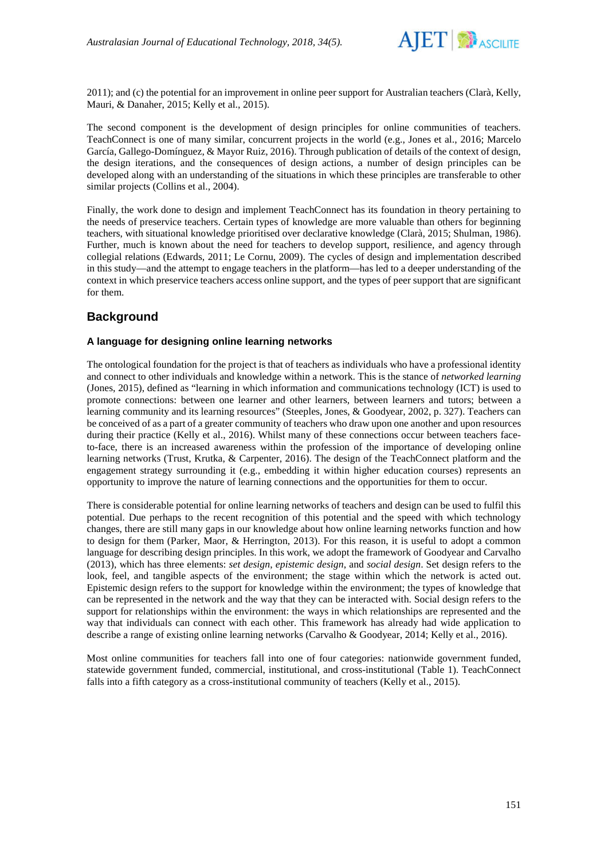

2011); and (c) the potential for an improvement in online peer support for Australian teachers (Clarà, Kelly, Mauri, & Danaher, 2015; Kelly et al., 2015).

The second component is the development of design principles for online communities of teachers. TeachConnect is one of many similar, concurrent projects in the world (e.g., Jones et al., 2016; Marcelo García, Gallego-Domínguez, & Mayor Ruiz, 2016). Through publication of details of the context of design, the design iterations, and the consequences of design actions, a number of design principles can be developed along with an understanding of the situations in which these principles are transferable to other similar projects (Collins et al., 2004).

Finally, the work done to design and implement TeachConnect has its foundation in theory pertaining to the needs of preservice teachers. Certain types of knowledge are more valuable than others for beginning teachers, with situational knowledge prioritised over declarative knowledge (Clarà, 2015; Shulman, 1986). Further, much is known about the need for teachers to develop support, resilience, and agency through collegial relations (Edwards, 2011; Le Cornu, 2009). The cycles of design and implementation described in this study—and the attempt to engage teachers in the platform—has led to a deeper understanding of the context in which preservice teachers access online support, and the types of peer support that are significant for them.

# **Background**

## **A language for designing online learning networks**

The ontological foundation for the project is that of teachers as individuals who have a professional identity and connect to other individuals and knowledge within a network. This is the stance of *networked learning* (Jones, 2015), defined as "learning in which information and communications technology (ICT) is used to promote connections: between one learner and other learners, between learners and tutors; between a learning community and its learning resources" (Steeples, Jones, & Goodyear, 2002, p. 327). Teachers can be conceived of as a part of a greater community of teachers who draw upon one another and upon resources during their practice (Kelly et al., 2016). Whilst many of these connections occur between teachers faceto-face, there is an increased awareness within the profession of the importance of developing online learning networks (Trust, Krutka, & Carpenter, 2016). The design of the TeachConnect platform and the engagement strategy surrounding it (e.g., embedding it within higher education courses) represents an opportunity to improve the nature of learning connections and the opportunities for them to occur.

There is considerable potential for online learning networks of teachers and design can be used to fulfil this potential. Due perhaps to the recent recognition of this potential and the speed with which technology changes, there are still many gaps in our knowledge about how online learning networks function and how to design for them (Parker, Maor, & Herrington, 2013). For this reason, it is useful to adopt a common language for describing design principles. In this work, we adopt the framework of Goodyear and Carvalho (2013), which has three elements: *set design*, *epistemic design*, and *social design*. Set design refers to the look, feel, and tangible aspects of the environment; the stage within which the network is acted out. Epistemic design refers to the support for knowledge within the environment; the types of knowledge that can be represented in the network and the way that they can be interacted with. Social design refers to the support for relationships within the environment: the ways in which relationships are represented and the way that individuals can connect with each other. This framework has already had wide application to describe a range of existing online learning networks (Carvalho & Goodyear, 2014; Kelly et al., 2016).

Most online communities for teachers fall into one of four categories: nationwide government funded, statewide government funded, commercial, institutional, and cross-institutional (Table 1). TeachConnect falls into a fifth category as a cross-institutional community of teachers (Kelly et al., 2015).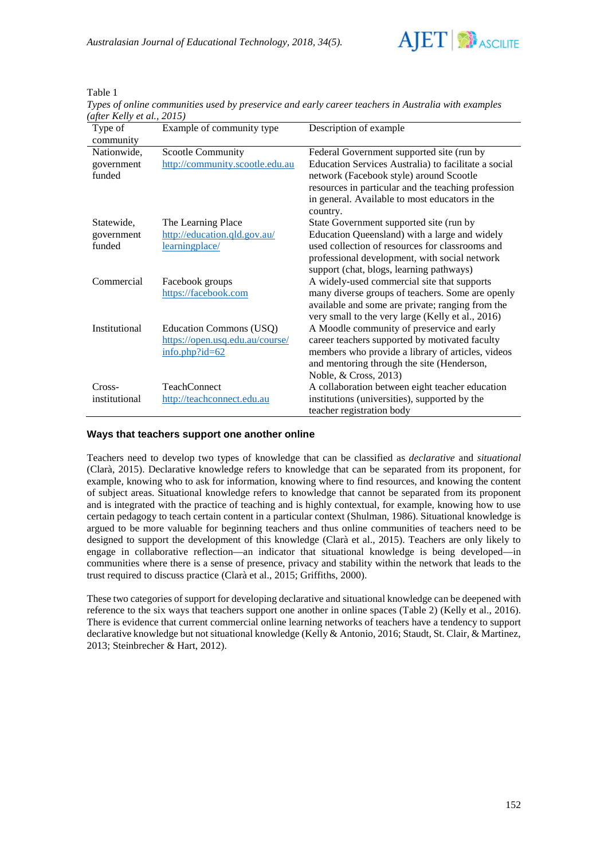

Table 1

*Types of online communities used by preservice and early career teachers in Australia with examples (after Kelly et al., 2015)*

| Type of       | Example of community type       | Description of example                                     |
|---------------|---------------------------------|------------------------------------------------------------|
| community     |                                 |                                                            |
| Nationwide,   | Scootle Community               | Federal Government supported site (run by                  |
| government    | http://community.scootle.edu.au | Education Services Australia) to facilitate a social       |
| funded        |                                 | network (Facebook style) around Scootle                    |
|               |                                 | resources in particular and the teaching profession        |
|               |                                 | in general. Available to most educators in the<br>country. |
| Statewide,    | The Learning Place              | State Government supported site (run by                    |
| government    | http://education.qld.gov.au/    | Education Queensland) with a large and widely              |
| funded        | learningplace/                  | used collection of resources for classrooms and            |
|               |                                 | professional development, with social network              |
|               |                                 | support (chat, blogs, learning pathways)                   |
| Commercial    | Facebook groups                 | A widely-used commercial site that supports                |
|               | https://facebook.com            | many diverse groups of teachers. Some are openly           |
|               |                                 | available and some are private; ranging from the           |
|               |                                 | very small to the very large (Kelly et al., 2016)          |
| Institutional | Education Commons (USQ)         | A Moodle community of preservice and early                 |
|               | https://open.usq.edu.au/course/ | career teachers supported by motivated faculty             |
|               | $info.php$ ?id=62               | members who provide a library of articles, videos          |
|               |                                 | and mentoring through the site (Henderson,                 |
|               |                                 | Noble, & Cross, 2013)                                      |
| Cross-        | <b>TeachConnect</b>             | A collaboration between eight teacher education            |
| institutional | http://teachconnect.edu.au      | institutions (universities), supported by the              |
|               |                                 | teacher registration body                                  |

### **Ways that teachers support one another online**

Teachers need to develop two types of knowledge that can be classified as *declarative* and *situational* (Clarà, 2015). Declarative knowledge refers to knowledge that can be separated from its proponent, for example, knowing who to ask for information, knowing where to find resources, and knowing the content of subject areas. Situational knowledge refers to knowledge that cannot be separated from its proponent and is integrated with the practice of teaching and is highly contextual, for example, knowing how to use certain pedagogy to teach certain content in a particular context (Shulman, 1986). Situational knowledge is argued to be more valuable for beginning teachers and thus online communities of teachers need to be designed to support the development of this knowledge (Clarà et al., 2015). Teachers are only likely to engage in collaborative reflection—an indicator that situational knowledge is being developed—in communities where there is a sense of presence, privacy and stability within the network that leads to the trust required to discuss practice (Clarà et al., 2015; Griffiths, 2000).

These two categories of support for developing declarative and situational knowledge can be deepened with reference to the six ways that teachers support one another in online spaces (Table 2) (Kelly et al., 2016). There is evidence that current commercial online learning networks of teachers have a tendency to support declarative knowledge but not situational knowledge (Kelly & Antonio, 2016; Staudt, St. Clair, & Martinez, 2013; Steinbrecher & Hart, 2012).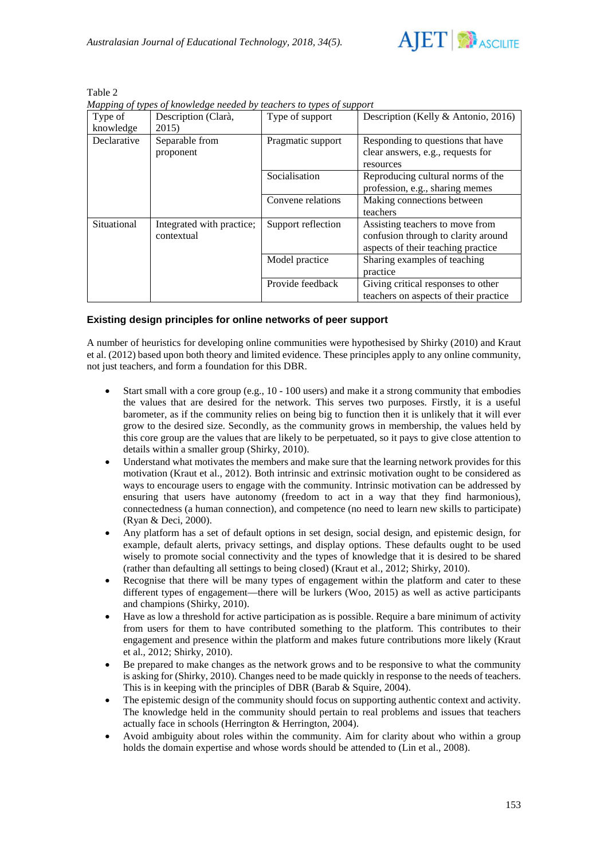

Table 2

*Mapping of types of knowledge needed by teachers to types of support*

| Type of<br>knowledge | Description (Clarà,<br>2015)            | Type of support    | Description (Kelly & Antonio, 2016)                                                                          |
|----------------------|-----------------------------------------|--------------------|--------------------------------------------------------------------------------------------------------------|
| Declarative          | Separable from<br>proponent             | Pragmatic support  | Responding to questions that have<br>clear answers, e.g., requests for<br>resources                          |
|                      |                                         | Socialisation      | Reproducing cultural norms of the<br>profession, e.g., sharing memes                                         |
|                      |                                         | Convene relations  | Making connections between<br>teachers                                                                       |
| Situational          | Integrated with practice;<br>contextual | Support reflection | Assisting teachers to move from<br>confusion through to clarity around<br>aspects of their teaching practice |
|                      |                                         | Model practice     | Sharing examples of teaching<br>practice                                                                     |
|                      |                                         | Provide feedback   | Giving critical responses to other<br>teachers on aspects of their practice                                  |

## **Existing design principles for online networks of peer support**

A number of heuristics for developing online communities were hypothesised by Shirky (2010) and Kraut et al. (2012) based upon both theory and limited evidence. These principles apply to any online community, not just teachers, and form a foundation for this DBR.

- Start small with a core group (e.g., 10 100 users) and make it a strong community that embodies the values that are desired for the network. This serves two purposes. Firstly, it is a useful barometer, as if the community relies on being big to function then it is unlikely that it will ever grow to the desired size. Secondly, as the community grows in membership, the values held by this core group are the values that are likely to be perpetuated, so it pays to give close attention to details within a smaller group (Shirky, 2010).
- Understand what motivates the members and make sure that the learning network provides for this motivation (Kraut et al., 2012). Both intrinsic and extrinsic motivation ought to be considered as ways to encourage users to engage with the community. Intrinsic motivation can be addressed by ensuring that users have autonomy (freedom to act in a way that they find harmonious), connectedness (a human connection), and competence (no need to learn new skills to participate) (Ryan & Deci, 2000).
- Any platform has a set of default options in set design, social design, and epistemic design, for example, default alerts, privacy settings, and display options. These defaults ought to be used wisely to promote social connectivity and the types of knowledge that it is desired to be shared (rather than defaulting all settings to being closed) (Kraut et al., 2012; Shirky, 2010).
- Recognise that there will be many types of engagement within the platform and cater to these different types of engagement—there will be lurkers (Woo, 2015) as well as active participants and champions (Shirky, 2010).
- Have as low a threshold for active participation as is possible. Require a bare minimum of activity from users for them to have contributed something to the platform. This contributes to their engagement and presence within the platform and makes future contributions more likely (Kraut et al., 2012; Shirky, 2010).
- Be prepared to make changes as the network grows and to be responsive to what the community is asking for (Shirky, 2010). Changes need to be made quickly in response to the needs of teachers. This is in keeping with the principles of DBR (Barab & Squire, 2004).
- The epistemic design of the community should focus on supporting authentic context and activity. The knowledge held in the community should pertain to real problems and issues that teachers actually face in schools (Herrington & Herrington, 2004).
- Avoid ambiguity about roles within the community. Aim for clarity about who within a group holds the domain expertise and whose words should be attended to (Lin et al., 2008).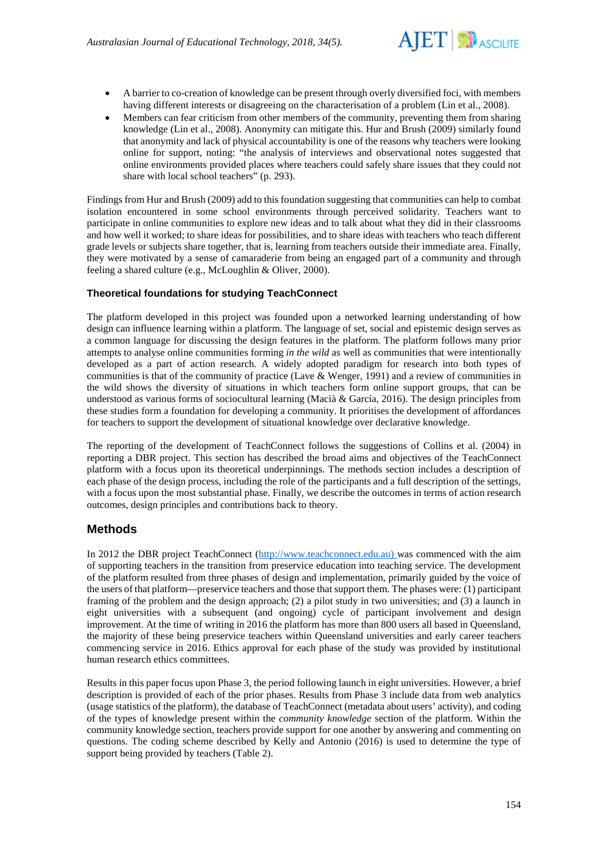

- A barrier to co-creation of knowledge can be present through overly diversified foci, with members having different interests or disagreeing on the characterisation of a problem (Lin et al., 2008).
- Members can fear criticism from other members of the community, preventing them from sharing knowledge (Lin et al., 2008). Anonymity can mitigate this. Hur and Brush (2009) similarly found that anonymity and lack of physical accountability is one of the reasons why teachers were looking online for support, noting: "the analysis of interviews and observational notes suggested that online environments provided places where teachers could safely share issues that they could not share with local school teachers" (p. 293).

Findings from Hur and Brush (2009) add to this foundation suggesting that communities can help to combat isolation encountered in some school environments through perceived solidarity. Teachers want to participate in online communities to explore new ideas and to talk about what they did in their classrooms and how well it worked; to share ideas for possibilities, and to share ideas with teachers who teach different grade levels or subjects share together, that is, learning from teachers outside their immediate area. Finally, they were motivated by a sense of camaraderie from being an engaged part of a community and through feeling a shared culture (e.g., McLoughlin & Oliver, 2000).

## **Theoretical foundations for studying TeachConnect**

The platform developed in this project was founded upon a networked learning understanding of how design can influence learning within a platform. The language of set, social and epistemic design serves as a common language for discussing the design features in the platform. The platform follows many prior attempts to analyse online communities forming *in the wild* as well as communities that were intentionally developed as a part of action research. A widely adopted paradigm for research into both types of communities is that of the community of practice (Lave & Wenger, 1991) and a review of communities in the wild shows the diversity of situations in which teachers form online support groups, that can be understood as various forms of sociocultural learning (Macià & García, 2016). The design principles from these studies form a foundation for developing a community. It prioritises the development of affordances for teachers to support the development of situational knowledge over declarative knowledge.

The reporting of the development of TeachConnect follows the suggestions of Collins et al. (2004) in reporting a DBR project. This section has described the broad aims and objectives of the TeachConnect platform with a focus upon its theoretical underpinnings. The methods section includes a description of each phase of the design process, including the role of the participants and a full description of the settings, with a focus upon the most substantial phase. Finally, we describe the outcomes in terms of action research outcomes, design principles and contributions back to theory.

# **Methods**

In 2012 the DBR project TeachConnect [\(http://www.teachconnect.edu.au\)](http://www.teachconnect.edu.au/) was commenced with the aim of supporting teachers in the transition from preservice education into teaching service. The development of the platform resulted from three phases of design and implementation, primarily guided by the voice of the users of that platform—preservice teachers and those that support them. The phases were: (1) participant framing of the problem and the design approach; (2) a pilot study in two universities; and (3) a launch in eight universities with a subsequent (and ongoing) cycle of participant involvement and design improvement. At the time of writing in 2016 the platform has more than 800 users all based in Queensland, the majority of these being preservice teachers within Queensland universities and early career teachers commencing service in 2016. Ethics approval for each phase of the study was provided by institutional human research ethics committees.

Results in this paper focus upon Phase 3, the period following launch in eight universities. However, a brief description is provided of each of the prior phases. Results from Phase 3 include data from web analytics (usage statistics of the platform), the database of TeachConnect (metadata about users' activity), and coding of the types of knowledge present within the *community knowledge* section of the platform. Within the community knowledge section, teachers provide support for one another by answering and commenting on questions. The coding scheme described by Kelly and Antonio (2016) is used to determine the type of support being provided by teachers (Table 2).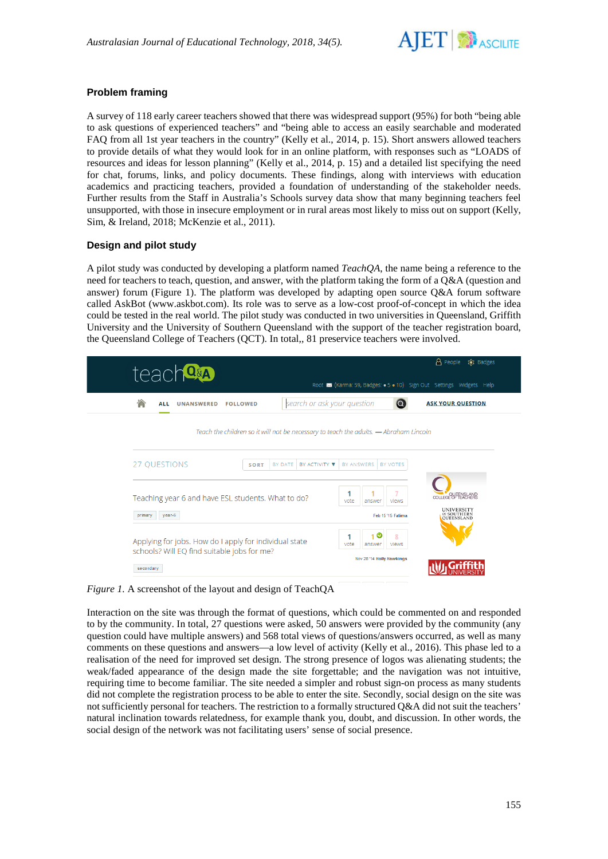

## **Problem framing**

A survey of 118 early career teachers showed that there was widespread support (95%) for both "being able to ask questions of experienced teachers" and "being able to access an easily searchable and moderated FAQ from all 1st year teachers in the country" (Kelly et al., 2014, p. 15). Short answers allowed teachers to provide details of what they would look for in an online platform, with responses such as "LOADS of resources and ideas for lesson planning" (Kelly et al., 2014, p. 15) and a detailed list specifying the need for chat, forums, links, and policy documents. These findings, along with interviews with education academics and practicing teachers, provided a foundation of understanding of the stakeholder needs. Further results from the Staff in Australia's Schools survey data show that many beginning teachers feel unsupported, with those in insecure employment or in rural areas most likely to miss out on support (Kelly, Sim, & Ireland, 2018; McKenzie et al., 2011).

## **Design and pilot study**

A pilot study was conducted by developing a platform named *TeachQA*, the name being a reference to the need for teachers to teach, question, and answer, with the platform taking the form of a Q&A (question and answer) forum (Figure 1). The platform was developed by adapting open source Q&A forum software called AskBot (www.askbot.com). Its role was to serve as a low-cost proof-of-concept in which the idea could be tested in the real world. The pilot study was conducted in two universities in Queensland, Griffith University and the University of Southern Queensland with the support of the teacher registration board, the Queensland College of Teachers (QCT). In total,, 81 preservice teachers were involved.

| teach <sup>on</sup>                                                                   |                                                                     | <b>A</b> People<br>& Badges                           |
|---------------------------------------------------------------------------------------|---------------------------------------------------------------------|-------------------------------------------------------|
|                                                                                       | Root M (Karma: 59, Badges: • 5 • 10) Sign Out Settings Widgets Help |                                                       |
| search or ask your question<br><b>FOLLOWED</b><br><b>ALL</b><br><b>UNANSWERED</b>     | ra.                                                                 | <b>ASK YOUR QUESTION</b>                              |
| Teach the children so it will not be necessary to teach the adults. - Abraham Lincoln |                                                                     |                                                       |
|                                                                                       |                                                                     |                                                       |
| 27 QUESTIONS<br>BY DATE<br>BY ACTIVITY <b>V</b><br><b>SORT</b>                        | BY ANSWERS<br><b>BY VOTES</b>                                       |                                                       |
|                                                                                       |                                                                     |                                                       |
| Teaching year 6 and have ESL students. What to do?                                    | 1<br>vote<br>answer<br>views                                        | OUFFINSLAND                                           |
| year-6<br>primary                                                                     | Feb 15 '15 Fatima                                                   | <b>UNIVERSITY</b><br>OF SOUTHERN<br><b>QUEENSLAND</b> |
|                                                                                       | 10<br>1<br>8                                                        |                                                       |
| Applying for jobs. How do I apply for individual state                                | vote<br>views<br>answer                                             |                                                       |
| schools? Will EQ find suitable jobs for me?                                           |                                                                     |                                                       |

*Figure 1.* A screenshot of the layout and design of TeachOA

Interaction on the site was through the format of questions, which could be commented on and responded to by the community. In total, 27 questions were asked, 50 answers were provided by the community (any question could have multiple answers) and 568 total views of questions/answers occurred, as well as many comments on these questions and answers—a low level of activity (Kelly et al., 2016). This phase led to a realisation of the need for improved set design. The strong presence of logos was alienating students; the weak/faded appearance of the design made the site forgettable; and the navigation was not intuitive, requiring time to become familiar. The site needed a simpler and robust sign-on process as many students did not complete the registration process to be able to enter the site. Secondly, social design on the site was not sufficiently personal for teachers. The restriction to a formally structured Q&A did not suit the teachers' natural inclination towards relatedness, for example thank you, doubt, and discussion. In other words, the social design of the network was not facilitating users' sense of social presence.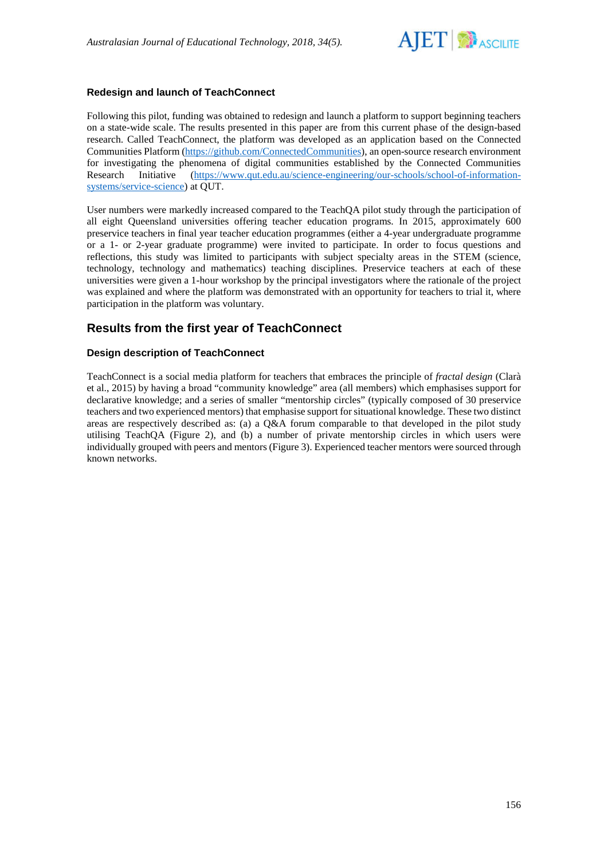

## **Redesign and launch of TeachConnect**

Following this pilot, funding was obtained to redesign and launch a platform to support beginning teachers on a state-wide scale. The results presented in this paper are from this current phase of the design-based research. Called TeachConnect, the platform was developed as an application based on the Connected Communities Platform [\(https://github.com/ConnectedCommunities\)](https://github.com/ConnectedCommunities), an open-source research environment for investigating the phenomena of digital communities established by the Connected Communities Research Initiative [\(https://www.qut.edu.au/science-engineering/our-schools/school-of-information](https://www.qut.edu.au/science-engineering/our-schools/school-of-information-systems/service-science)[systems/service-science\)](https://www.qut.edu.au/science-engineering/our-schools/school-of-information-systems/service-science) at QUT.

User numbers were markedly increased compared to the TeachQA pilot study through the participation of all eight Queensland universities offering teacher education programs. In 2015, approximately 600 preservice teachers in final year teacher education programmes (either a 4-year undergraduate programme or a 1- or 2-year graduate programme) were invited to participate. In order to focus questions and reflections, this study was limited to participants with subject specialty areas in the STEM (science, technology, technology and mathematics) teaching disciplines. Preservice teachers at each of these universities were given a 1-hour workshop by the principal investigators where the rationale of the project was explained and where the platform was demonstrated with an opportunity for teachers to trial it, where participation in the platform was voluntary.

# **Results from the first year of TeachConnect**

## **Design description of TeachConnect**

TeachConnect is a social media platform for teachers that embraces the principle of *fractal design* (Clarà et al., 2015) by having a broad "community knowledge" area (all members) which emphasises support for declarative knowledge; and a series of smaller "mentorship circles" (typically composed of 30 preservice teachers and two experienced mentors) that emphasise support for situational knowledge. These two distinct areas are respectively described as: (a) a Q&A forum comparable to that developed in the pilot study utilising TeachQA (Figure 2), and (b) a number of private mentorship circles in which users were individually grouped with peers and mentors (Figure 3). Experienced teacher mentors were sourced through known networks.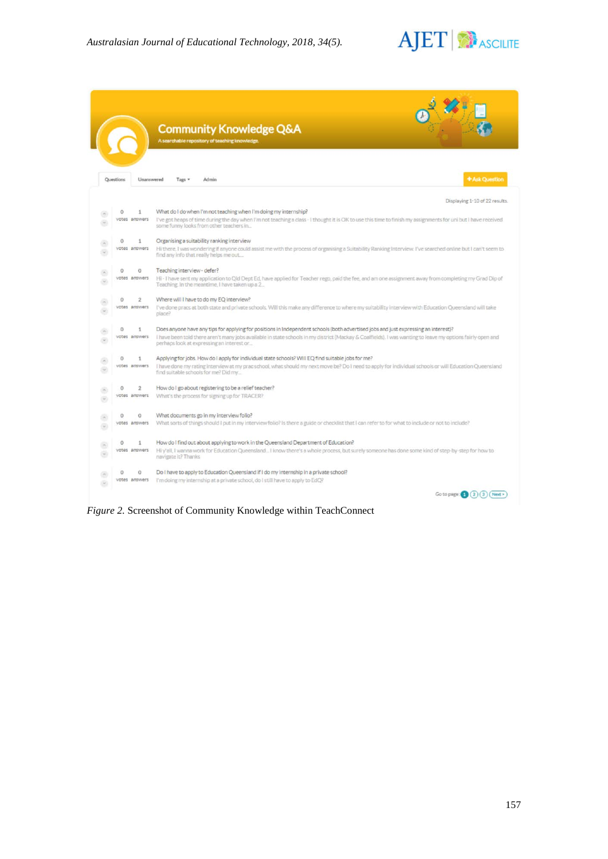

|           |                | <b>Community Knowledge Q&amp;A</b><br>A searchable repository of teaching knowledge                                                                                                                       |
|-----------|----------------|-----------------------------------------------------------------------------------------------------------------------------------------------------------------------------------------------------------|
| Questions | Unanswered     | <b>+ Ask Question</b><br>Tags =<br>Admin                                                                                                                                                                  |
|           |                | Displaying 1-10 of 22 results.                                                                                                                                                                            |
| $\circ$   | 1              | What do I do when I'm not teaching when I'm doing my internship?                                                                                                                                          |
|           | votes answers  | I've got heaps of time during the day when I'm not teaching a class - I thought it is OK to use this time to finish my assignments for uni but I have received<br>some funny looks from other teachers in |
| $\circ$   | 1              | Organising a suitability ranking interview                                                                                                                                                                |
|           | votes answers  | Hi there, I was wondering if anyone could assist me with the process of organising a Suitability Ranking Interview. I've searched online but I can't seem to<br>find any info that really helps me out    |
| $\circ$   | 0              | Teaching interview - defer?                                                                                                                                                                               |
|           | votes answers  | Hi - I have sent my application to Qld Dept Ed, have applied for Teacher rego, paid the fee, and am one assignment away from completing my Grad Dip of<br>Teaching. In the meantime, I have taken up a 2_ |
| $\circ$   | $\overline{2}$ | Where will I have to do my EO interview?                                                                                                                                                                  |
|           | votes answers  | I've done pracs at both state and private schools. Will this make any difference to where my suitability interview with Education Queensland will take<br>place?                                          |
| $\circ$   | 1              | Does anyone have any tips for applying for positions in Independent schools (both advertised jobs and just expressing an interest)?                                                                       |
|           | votes answers  | I have been told there aren't many jobs available in state schools in my district (Mackay & Coalfields). I was wanting to leave my options fairly open and<br>perhaps look at expressing an interest or   |
| $\Omega$  | 1              | Applying for jobs. How do I apply for individual state schools? Will EQ find suitable jobs for me?                                                                                                        |
|           | votes answers  | I have done my rating interview at my prac school, what should my next move be? Do I need to apply for individual schools or will Education Queensland<br>find suitable schools for me? Did my            |
| $\circ$   | $\overline{2}$ | How do I go about registering to be a relief teacher?                                                                                                                                                     |
|           | votes answers  | What's the process for signing up for TRACER?                                                                                                                                                             |
|           |                |                                                                                                                                                                                                           |
| $\circ$   | $\circ$        | What documents go in my interview folio?                                                                                                                                                                  |
|           | votes answers  | What sorts of things should I put in my interview folio? Is there a guide or checklist that I can refer to for what to include or not to include?                                                         |
| $\circ$   | 1              | How do I find out about applying to work in the Queensland Department of Education?                                                                                                                       |
|           | votes answers  | Hi y'all, I wanna work for Education Queensland I know there's a whole process, but surely someone has done some kind of step-by-step for how to<br>navigate it? Thanks                                   |
| $\Omega$  | 0              | Do I have to apply to Education Queensland if I do my internship in a private school?                                                                                                                     |
|           | votes answers  | I'm doing my internship at a private school, do I still have to apply to EdO?                                                                                                                             |
|           |                | Go to page: $\left( 2 \right)$ $\left( 3 \right)$ ( Next >                                                                                                                                                |

*Figure 2.* Screenshot of Community Knowledge within TeachConnect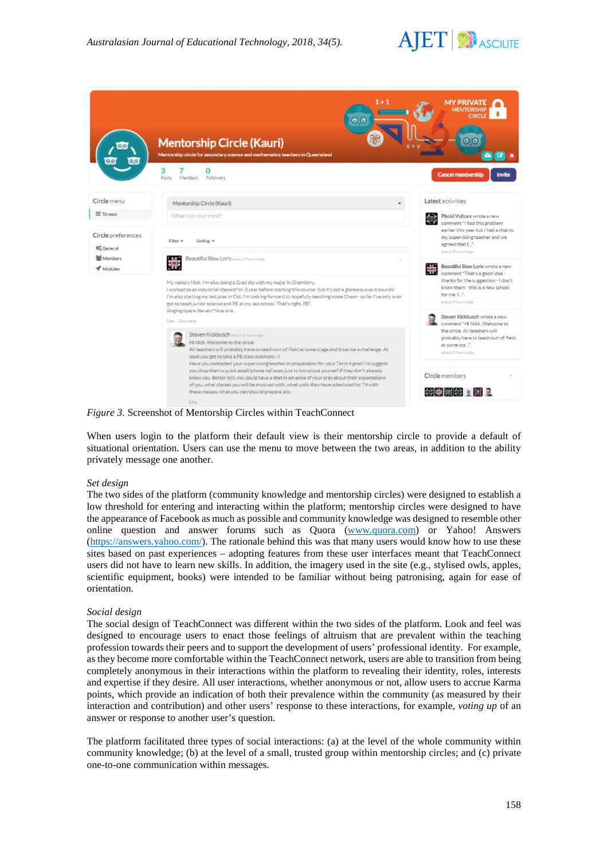

|                                                         | $1 + 1$<br>0 <sup>o</sup><br><b>CONTINUES</b><br><b>Mentorship Circle (Kauri)</b><br>Mentorship circle for secondary science and mathematics teachers in Queensland                                                                                                                                                                                                                                                                              | <b>MY PRIVATE</b><br><b>MENTORSHIP</b><br>оτс<br>$\bullet$                                                                                                                 |
|---------------------------------------------------------|--------------------------------------------------------------------------------------------------------------------------------------------------------------------------------------------------------------------------------------------------------------------------------------------------------------------------------------------------------------------------------------------------------------------------------------------------|----------------------------------------------------------------------------------------------------------------------------------------------------------------------------|
|                                                         | з<br>Followers<br><b>Posts</b><br>Members                                                                                                                                                                                                                                                                                                                                                                                                        | <b>Cancel membership</b><br><b>Invite</b>                                                                                                                                  |
| Circle menu<br>$\equiv$ Stream                          | Mentorship Circle (Kauri)<br>What's on your mind?                                                                                                                                                                                                                                                                                                                                                                                                | Latest activities<br>Placid Vulture wrote a new                                                                                                                            |
| Circle preferences<br>O <sub>S</sub> General<br>Members | Sorting $\sim$<br>Filter =<br>Beautiful Slow Loris about 3 hours een                                                                                                                                                                                                                                                                                                                                                                             | comment "I had this problem<br>earlier this year but I had a chat to<br>my supervising teacher and we<br>agreed that I.".<br>about 3 hours ago.                            |
| <b>V</b> Modules                                        | 黨<br>My name's Nick. I'm also doing a Grad dip with my major in Chemistry.<br>I worked as an industrial chemist for 3 year before starting this course- but it's not a glamorous as it sounds!<br>I'm also starting my last prac in Oct. I'm looking forward to hopefully teaching some Chem - so far I've only ever<br>got to teach junior science and PE at my last school. That's right, PE!                                                  | Beautiful Slow Loris wrote a new<br>Beautiful Slow Lune<br>thanks for the suggestion - I don't<br>know them - this is a new school<br>for me. I.".<br>about 3 hours ago:   |
|                                                         | Singing opera Steven? Nice one.<br>Like - Commerci<br>Steven Kickbusch strout 0 hours ago.<br>Hi Nick. Welcome to the circle.<br>All teachers will probably have to teach out-of-field at some stage and it can be a challenge. At<br>least you got to take a PE class outdoors :- )                                                                                                                                                             | Steven Kickbusch wrote a new<br>comment "Hi Nick, Welcome to<br>the circle. All teachers will<br>probably have to teach out-of-field<br>at some sta".<br>about 3 hours ago |
|                                                         | Have you contacted your supervising teacher in preparation for your Term 4 prac? I'd suggest<br>you drop them a quick email/phone call even just to introduce yourself if they don't already<br>know you. Better still, you could have a chat in advance of your prac about their expectations<br>of you, what classes you will be involved with, what units they have scheduled for T4 with<br>these classes, what you can/should prepare, etc. | Circle members<br>◎曲関● ▲国 ■                                                                                                                                                |

*Figure 3.* Screenshot of Mentorship Circles within TeachConnect

When users login to the platform their default view is their mentorship circle to provide a default of situational orientation. Users can use the menu to move between the two areas, in addition to the ability privately message one another.

#### *Set design*

The two sides of the platform (community knowledge and mentorship circles) were designed to establish a low threshold for entering and interacting within the platform; mentorship circles were designed to have the appearance of Facebook as much as possible and community knowledge was designed to resemble other online question and answer forums such as Quora [\(www.quora.com\)](http://www.quora.com/) or Yahoo! Answers [\(https://answers.yahoo.com/\)](https://answers.yahoo.com/). The rationale behind this was that many users would know how to use these sites based on past experiences – adopting features from these user interfaces meant that TeachConnect users did not have to learn new skills. In addition, the imagery used in the site (e.g., stylised owls, apples, scientific equipment, books) were intended to be familiar without being patronising, again for ease of orientation.

#### *Social design*

The social design of TeachConnect was different within the two sides of the platform. Look and feel was designed to encourage users to enact those feelings of altruism that are prevalent within the teaching profession towards their peers and to support the development of users' professional identity. For example, as they become more comfortable within the TeachConnect network, users are able to transition from being completely anonymous in their interactions within the platform to revealing their identity, roles, interests and expertise if they desire. All user interactions, whether anonymous or not, allow users to accrue Karma points, which provide an indication of both their prevalence within the community (as measured by their interaction and contribution) and other users' response to these interactions, for example, *voting up* of an answer or response to another user's question.

The platform facilitated three types of social interactions: (a) at the level of the whole community within community knowledge; (b) at the level of a small, trusted group within mentorship circles; and (c) private one-to-one communication within messages.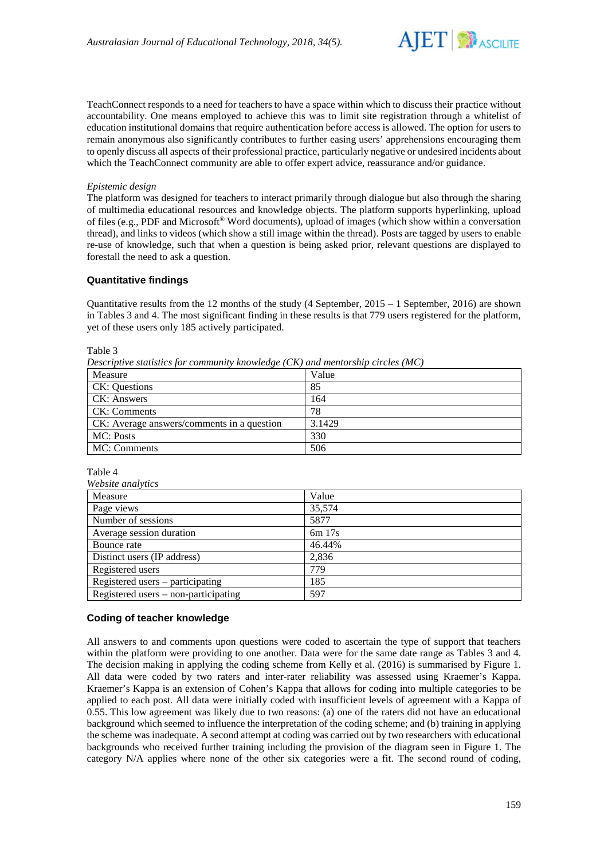

TeachConnect responds to a need for teachers to have a space within which to discuss their practice without accountability. One means employed to achieve this was to limit site registration through a whitelist of education institutional domains that require authentication before access is allowed. The option for users to remain anonymous also significantly contributes to further easing users' apprehensions encouraging them to openly discuss all aspects of their professional practice, particularly negative or undesired incidents about which the TeachConnect community are able to offer expert advice, reassurance and/or guidance.

#### *Epistemic design*

The platform was designed for teachers to interact primarily through dialogue but also through the sharing of multimedia educational resources and knowledge objects. The platform supports hyperlinking, upload of files (e.g., PDF and Microsoft® Word documents), upload of images (which show within a conversation thread), and links to videos (which show a still image within the thread). Posts are tagged by users to enable re-use of knowledge, such that when a question is being asked prior, relevant questions are displayed to forestall the need to ask a question.

## **Quantitative findings**

Quantitative results from the 12 months of the study (4 September,  $2015 - 1$  September, 2016) are shown in Tables 3 and 4. The most significant finding in these results is that 779 users registered for the platform, yet of these users only 185 actively participated.

Table 3

*Descriptive statistics for community knowledge (CK) and mentorship circles (MC)*

| Measure                                    | Value  |
|--------------------------------------------|--------|
| <b>CK: Questions</b>                       | 85     |
| CK: Answers                                | 164    |
| CK: Comments                               | 78     |
| CK: Average answers/comments in a question | 3.1429 |
| MC: Posts                                  | 330    |
| MC: Comments                               | 506    |

Table 4

| Website analytics                    |          |  |  |  |
|--------------------------------------|----------|--|--|--|
| Measure                              | Value    |  |  |  |
| Page views                           | 35,574   |  |  |  |
| Number of sessions                   | 5877     |  |  |  |
| Average session duration             | $6m$ 17s |  |  |  |
| Bounce rate                          | 46.44%   |  |  |  |
| Distinct users (IP address)          | 2,836    |  |  |  |
| Registered users                     | 779      |  |  |  |
| Registered users $-$ participating   | 185      |  |  |  |
| Registered users – non-participating | 597      |  |  |  |

## **Coding of teacher knowledge**

All answers to and comments upon questions were coded to ascertain the type of support that teachers within the platform were providing to one another. Data were for the same date range as Tables 3 and 4. The decision making in applying the coding scheme from Kelly et al. (2016) is summarised by Figure 1. All data were coded by two raters and inter-rater reliability was assessed using Kraemer's Kappa. Kraemer's Kappa is an extension of Cohen's Kappa that allows for coding into multiple categories to be applied to each post. All data were initially coded with insufficient levels of agreement with a Kappa of 0.55. This low agreement was likely due to two reasons: (a) one of the raters did not have an educational background which seemed to influence the interpretation of the coding scheme; and (b) training in applying the scheme was inadequate. A second attempt at coding was carried out by two researchers with educational backgrounds who received further training including the provision of the diagram seen in Figure 1. The category N/A applies where none of the other six categories were a fit. The second round of coding,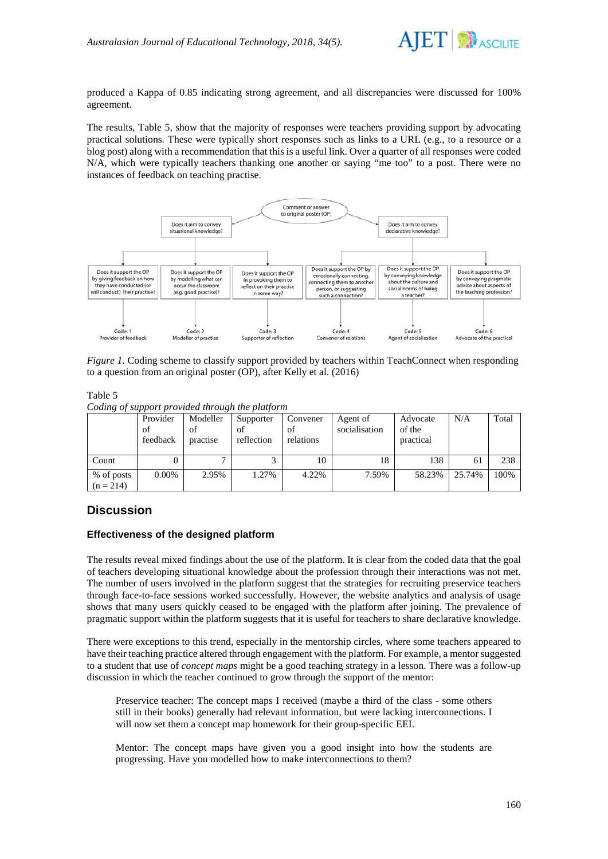

produced a Kappa of 0.85 indicating strong agreement, and all discrepancies were discussed for 100% agreement.

The results, Table 5, show that the majority of responses were teachers providing support by advocating practical solutions. These were typically short responses such as links to a URL (e.g., to a resource or a blog post) along with a recommendation that this is a useful link. Over a quarter of all responses were coded N/A, which were typically teachers thanking one another or saying "me too" to a post. There were no instances of feedback on teaching practise.



*Figure 1.* Coding scheme to classify support provided by teachers within TeachConnect when responding to a question from an original poster (OP), after Kelly et al. (2016)

Table 5 *Coding of support provided through the platform*

|                           | Provider<br>of<br>feedback | Modeller<br>of<br>practise | Supporter<br>οt<br>reflection | Convener<br>of<br>relations | Agent of<br>socialisation | Advocate<br>of the<br>practical | N/A    | Total |
|---------------------------|----------------------------|----------------------------|-------------------------------|-----------------------------|---------------------------|---------------------------------|--------|-------|
| Count                     |                            |                            |                               | 10                          | 18                        | 138                             | 61     | 238   |
| % of posts<br>$(n = 214)$ | $0.00\%$                   | 2.95%                      | 1.27%                         | 4.22%                       | 7.59%                     | 58.23%                          | 25.74% | 100%  |

# **Discussion**

## **Effectiveness of the designed platform**

The results reveal mixed findings about the use of the platform. It is clear from the coded data that the goal of teachers developing situational knowledge about the profession through their interactions was not met. The number of users involved in the platform suggest that the strategies for recruiting preservice teachers through face-to-face sessions worked successfully. However, the website analytics and analysis of usage shows that many users quickly ceased to be engaged with the platform after joining. The prevalence of pragmatic support within the platform suggests that it is useful for teachers to share declarative knowledge.

There were exceptions to this trend, especially in the mentorship circles, where some teachers appeared to have their teaching practice altered through engagement with the platform. For example, a mentor suggested to a student that use of *concept maps* might be a good teaching strategy in a lesson. There was a follow-up discussion in which the teacher continued to grow through the support of the mentor:

Preservice teacher: The concept maps I received (maybe a third of the class - some others still in their books) generally had relevant information, but were lacking interconnections. I will now set them a concept map homework for their group-specific EEI.

Mentor: The concept maps have given you a good insight into how the students are progressing. Have you modelled how to make interconnections to them?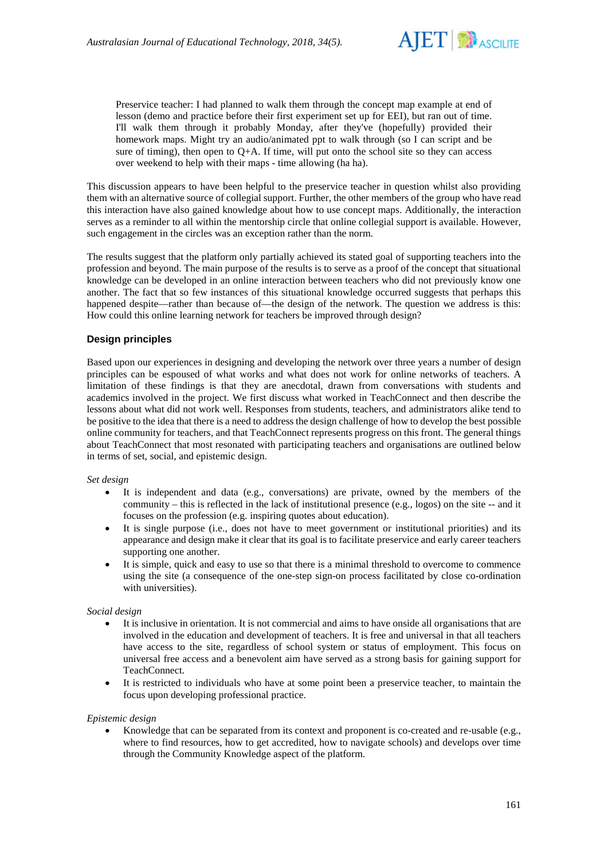

Preservice teacher: I had planned to walk them through the concept map example at end of lesson (demo and practice before their first experiment set up for EEI), but ran out of time. I'll walk them through it probably Monday, after they've (hopefully) provided their homework maps. Might try an audio/animated ppt to walk through (so I can script and be sure of timing), then open to  $Q+A$ . If time, will put onto the school site so they can access over weekend to help with their maps - time allowing (ha ha).

This discussion appears to have been helpful to the preservice teacher in question whilst also providing them with an alternative source of collegial support. Further, the other members of the group who have read this interaction have also gained knowledge about how to use concept maps. Additionally, the interaction serves as a reminder to all within the mentorship circle that online collegial support is available. However, such engagement in the circles was an exception rather than the norm.

The results suggest that the platform only partially achieved its stated goal of supporting teachers into the profession and beyond. The main purpose of the results is to serve as a proof of the concept that situational knowledge can be developed in an online interaction between teachers who did not previously know one another. The fact that so few instances of this situational knowledge occurred suggests that perhaps this happened despite—rather than because of—the design of the network. The question we address is this: How could this online learning network for teachers be improved through design?

## **Design principles**

Based upon our experiences in designing and developing the network over three years a number of design principles can be espoused of what works and what does not work for online networks of teachers. A limitation of these findings is that they are anecdotal, drawn from conversations with students and academics involved in the project. We first discuss what worked in TeachConnect and then describe the lessons about what did not work well. Responses from students, teachers, and administrators alike tend to be positive to the idea that there is a need to address the design challenge of how to develop the best possible online community for teachers, and that TeachConnect represents progress on this front. The general things about TeachConnect that most resonated with participating teachers and organisations are outlined below in terms of set, social, and epistemic design.

## *Set design*

- It is independent and data (e.g., conversations) are private, owned by the members of the community – this is reflected in the lack of institutional presence (e.g., logos) on the site -- and it focuses on the profession (e.g. inspiring quotes about education).
- It is single purpose (i.e., does not have to meet government or institutional priorities) and its appearance and design make it clear that its goal is to facilitate preservice and early career teachers supporting one another.
- It is simple, quick and easy to use so that there is a minimal threshold to overcome to commence using the site (a consequence of the one-step sign-on process facilitated by close co-ordination with universities).

#### *Social design*

- It is inclusive in orientation. It is not commercial and aims to have onside all organisations that are involved in the education and development of teachers. It is free and universal in that all teachers have access to the site, regardless of school system or status of employment. This focus on universal free access and a benevolent aim have served as a strong basis for gaining support for TeachConnect.
- It is restricted to individuals who have at some point been a preservice teacher, to maintain the focus upon developing professional practice.

#### *Epistemic design*

• Knowledge that can be separated from its context and proponent is co-created and re-usable (e.g., where to find resources, how to get accredited, how to navigate schools) and develops over time through the Community Knowledge aspect of the platform.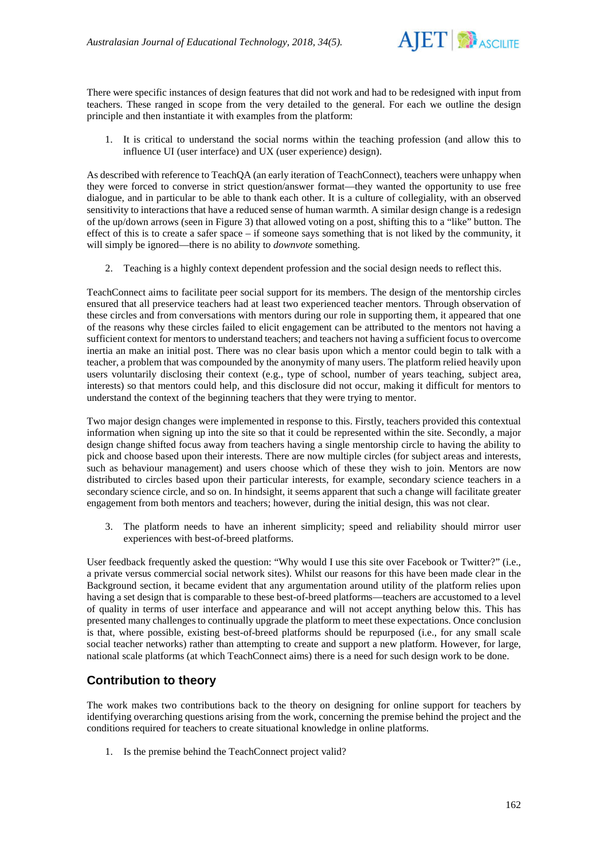

There were specific instances of design features that did not work and had to be redesigned with input from teachers. These ranged in scope from the very detailed to the general. For each we outline the design principle and then instantiate it with examples from the platform:

1. It is critical to understand the social norms within the teaching profession (and allow this to influence UI (user interface) and UX (user experience) design).

As described with reference to TeachQA (an early iteration of TeachConnect), teachers were unhappy when they were forced to converse in strict question/answer format—they wanted the opportunity to use free dialogue, and in particular to be able to thank each other. It is a culture of collegiality, with an observed sensitivity to interactions that have a reduced sense of human warmth. A similar design change is a redesign of the up/down arrows (seen in Figure 3) that allowed voting on a post, shifting this to a "like" button. The effect of this is to create a safer space – if someone says something that is not liked by the community, it will simply be ignored—there is no ability to *downvote* something.

2. Teaching is a highly context dependent profession and the social design needs to reflect this.

TeachConnect aims to facilitate peer social support for its members. The design of the mentorship circles ensured that all preservice teachers had at least two experienced teacher mentors. Through observation of these circles and from conversations with mentors during our role in supporting them, it appeared that one of the reasons why these circles failed to elicit engagement can be attributed to the mentors not having a sufficient context for mentors to understand teachers; and teachers not having a sufficient focus to overcome inertia an make an initial post. There was no clear basis upon which a mentor could begin to talk with a teacher, a problem that was compounded by the anonymity of many users. The platform relied heavily upon users voluntarily disclosing their context (e.g., type of school, number of years teaching, subject area, interests) so that mentors could help, and this disclosure did not occur, making it difficult for mentors to understand the context of the beginning teachers that they were trying to mentor.

Two major design changes were implemented in response to this. Firstly, teachers provided this contextual information when signing up into the site so that it could be represented within the site. Secondly, a major design change shifted focus away from teachers having a single mentorship circle to having the ability to pick and choose based upon their interests. There are now multiple circles (for subject areas and interests, such as behaviour management) and users choose which of these they wish to join. Mentors are now distributed to circles based upon their particular interests, for example, secondary science teachers in a secondary science circle, and so on. In hindsight, it seems apparent that such a change will facilitate greater engagement from both mentors and teachers; however, during the initial design, this was not clear.

3. The platform needs to have an inherent simplicity; speed and reliability should mirror user experiences with best-of-breed platforms.

User feedback frequently asked the question: "Why would I use this site over Facebook or Twitter?" (i.e., a private versus commercial social network sites). Whilst our reasons for this have been made clear in the Background section, it became evident that any argumentation around utility of the platform relies upon having a set design that is comparable to these best-of-breed platforms—teachers are accustomed to a level of quality in terms of user interface and appearance and will not accept anything below this. This has presented many challenges to continually upgrade the platform to meet these expectations. Once conclusion is that, where possible, existing best-of-breed platforms should be repurposed (i.e., for any small scale social teacher networks) rather than attempting to create and support a new platform. However, for large, national scale platforms (at which TeachConnect aims) there is a need for such design work to be done.

# **Contribution to theory**

The work makes two contributions back to the theory on designing for online support for teachers by identifying overarching questions arising from the work, concerning the premise behind the project and the conditions required for teachers to create situational knowledge in online platforms.

1. Is the premise behind the TeachConnect project valid?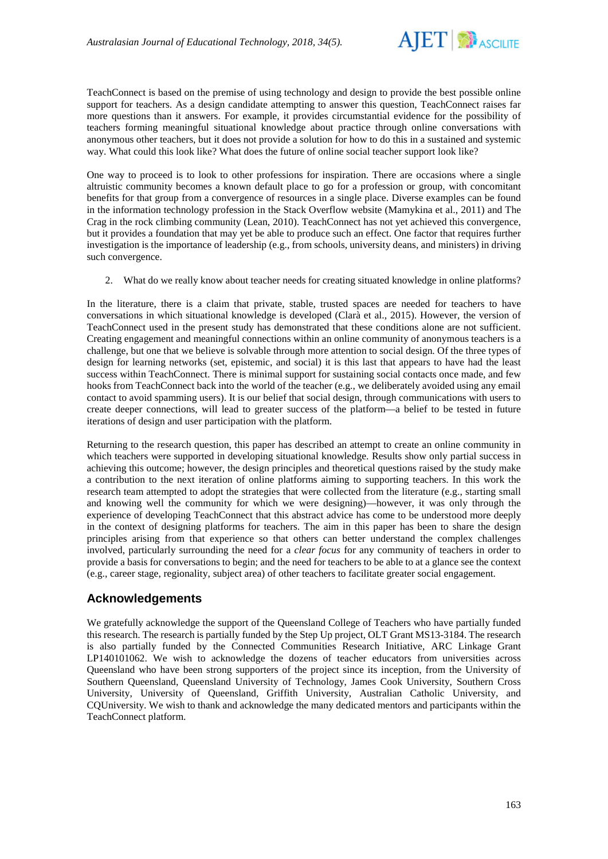

TeachConnect is based on the premise of using technology and design to provide the best possible online support for teachers. As a design candidate attempting to answer this question, TeachConnect raises far more questions than it answers. For example, it provides circumstantial evidence for the possibility of teachers forming meaningful situational knowledge about practice through online conversations with anonymous other teachers, but it does not provide a solution for how to do this in a sustained and systemic way. What could this look like? What does the future of online social teacher support look like?

One way to proceed is to look to other professions for inspiration. There are occasions where a single altruistic community becomes a known default place to go for a profession or group, with concomitant benefits for that group from a convergence of resources in a single place. Diverse examples can be found in the information technology profession in the Stack Overflow website (Mamykina et al., 2011) and The Crag in the rock climbing community (Lean, 2010). TeachConnect has not yet achieved this convergence, but it provides a foundation that may yet be able to produce such an effect. One factor that requires further investigation is the importance of leadership (e.g., from schools, university deans, and ministers) in driving such convergence.

2. What do we really know about teacher needs for creating situated knowledge in online platforms?

In the literature, there is a claim that private, stable, trusted spaces are needed for teachers to have conversations in which situational knowledge is developed (Clarà et al., 2015). However, the version of TeachConnect used in the present study has demonstrated that these conditions alone are not sufficient. Creating engagement and meaningful connections within an online community of anonymous teachers is a challenge, but one that we believe is solvable through more attention to social design. Of the three types of design for learning networks (set, epistemic, and social) it is this last that appears to have had the least success within TeachConnect. There is minimal support for sustaining social contacts once made, and few hooks from TeachConnect back into the world of the teacher (e.g., we deliberately avoided using any email contact to avoid spamming users). It is our belief that social design, through communications with users to create deeper connections, will lead to greater success of the platform—a belief to be tested in future iterations of design and user participation with the platform.

Returning to the research question, this paper has described an attempt to create an online community in which teachers were supported in developing situational knowledge. Results show only partial success in achieving this outcome; however, the design principles and theoretical questions raised by the study make a contribution to the next iteration of online platforms aiming to supporting teachers. In this work the research team attempted to adopt the strategies that were collected from the literature (e.g., starting small and knowing well the community for which we were designing)—however, it was only through the experience of developing TeachConnect that this abstract advice has come to be understood more deeply in the context of designing platforms for teachers. The aim in this paper has been to share the design principles arising from that experience so that others can better understand the complex challenges involved, particularly surrounding the need for a *clear focus* for any community of teachers in order to provide a basis for conversations to begin; and the need for teachers to be able to at a glance see the context (e.g., career stage, regionality, subject area) of other teachers to facilitate greater social engagement.

# **Acknowledgements**

We gratefully acknowledge the support of the Queensland College of Teachers who have partially funded this research. The research is partially funded by the Step Up project, OLT Grant MS13-3184. The research is also partially funded by the Connected Communities Research Initiative, ARC Linkage Grant LP140101062. We wish to acknowledge the dozens of teacher educators from universities across Queensland who have been strong supporters of the project since its inception, from the University of Southern Queensland, Queensland University of Technology, James Cook University, Southern Cross University, University of Queensland, Griffith University, Australian Catholic University, and CQUniversity. We wish to thank and acknowledge the many dedicated mentors and participants within the TeachConnect platform.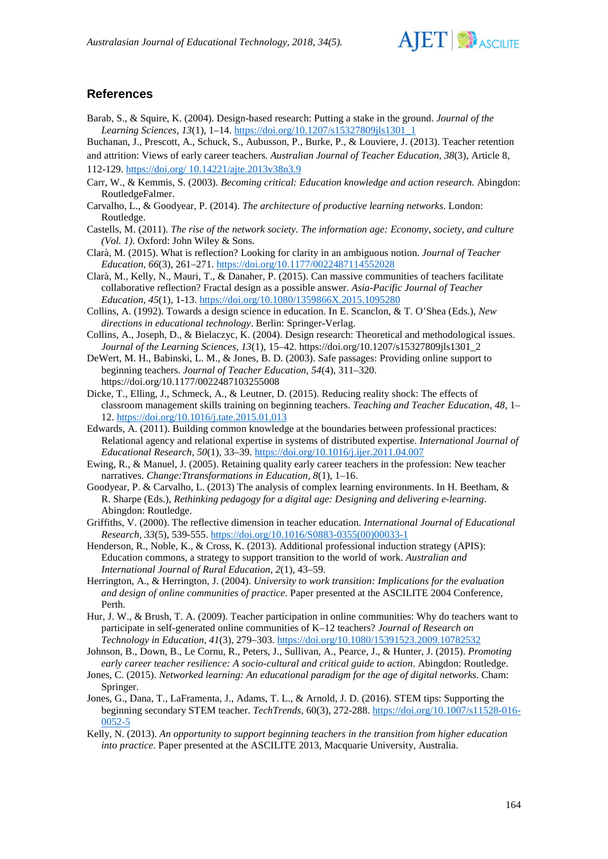

## **References**

Barab, S., & Squire, K. (2004). Design-based research: Putting a stake in the ground. *Journal of the Learning Sciences, 13*(1), 1–14. [https://doi.org/10.1207/s15327809jls1301\\_1](https://doi.org/10.1207/s15327809jls1301_1)

Buchanan, J., Prescott, A., Schuck, S., Aubusson, P., Burke, P., & Louviere, J. (2013). Teacher retention

and attrition: Views of early career teachers. *Australian Journal of Teacher Education, 38*(3), Article 8, 112-129. [https://doi.org/ 10.14221/ajte.2013v38n3.9](https://doi.org/%2010.14221/ajte.2013v38n3.9)

- Carr, W., & Kemmis, S. (2003). *Becoming critical: Education knowledge and action research.* Abingdon: RoutledgeFalmer.
- Carvalho, L., & Goodyear, P. (2014). *The architecture of productive learning networks*. London: Routledge.
- Castells, M. (2011). *The rise of the network society. The information age: Economy, society, and culture (Vol. 1)*. Oxford: John Wiley & Sons.
- Clarà, M. (2015). What is reflection? Looking for clarity in an ambiguous notion. *Journal of Teacher Education, 66*(3), 261–271.<https://doi.org/10.1177/0022487114552028>
- Clarà, M., Kelly, N., Mauri, T., & Danaher, P. (2015). Can massive communities of teachers facilitate collaborative reflection? Fractal design as a possible answer. *Asia-Pacific Journal of Teacher Education*, *45*(1), 1-13. <https://doi.org/10.1080/1359866X.2015.1095280>
- Collins, A. (1992). Towards a design science in education. In E. Scanclon, & T. O'Shea (Eds.), *New directions in educational technology*. Berlin: Springer-Verlag.
- Collins, A., Joseph, D., & Bielaczyc, K. (2004). Design research: Theoretical and methodological issues. *Journal of the Learning Sciences, 13*(1), 15–42. https://doi.org/10.1207/s15327809jls1301\_2
- DeWert, M. H., Babinski, L. M., & Jones, B. D. (2003). Safe passages: Providing online support to beginning teachers. *Journal of Teacher Education, 54*(4), 311–320. https://doi.org/10.1177/0022487103255008
- Dicke, T., Elling, J., Schmeck, A., & Leutner, D. (2015). Reducing reality shock: The effects of classroom management skills training on beginning teachers. *Teaching and Teacher Education, 48*, 1– 12.<https://doi.org/10.1016/j.tate.2015.01.013>
- Edwards, A. (2011). Building common knowledge at the boundaries between professional practices: Relational agency and relational expertise in systems of distributed expertise. *International Journal of Educational Research, 50*(1), 33–39. <https://doi.org/10.1016/j.ijer.2011.04.007>
- Ewing, R., & Manuel, J. (2005). Retaining quality early career teachers in the profession: New teacher narratives. *Change:Ttransformations in Education, 8*(1), 1–16.
- Goodyear, P. & Carvalho, L. (2013) The analysis of complex learning environments. In H. Beetham, & R. Sharpe (Eds.), *Rethinking pedagogy for a digital age: Designing and delivering e-learning*. Abingdon: Routledge.
- Griffiths, V. (2000). The reflective dimension in teacher education. *International Journal of Educational Research, 33*(5), 539-555. [https://doi.org/10.1016/S0883-0355\(00\)00033-1](https://doi.org/10.1016/S0883-0355(00)00033-1)
- Henderson, R., Noble, K., & Cross, K. (2013). Additional professional induction strategy (APIS): Education commons, a strategy to support transition to the world of work. *Australian and International Journal of Rural Education, 2*(1), 43–59.
- Herrington, A., & Herrington, J. (2004). *University to work transition: Implications for the evaluation and design of online communities of practice.* Paper presented at the ASCILITE 2004 Conference, Perth.
- Hur, J. W., & Brush, T. A. (2009). Teacher participation in online communities: Why do teachers want to participate in self-generated online communities of K–12 teachers? *Journal of Research on Technology in Education, 41*(3), 279–303. <https://doi.org/10.1080/15391523.2009.10782532>
- Johnson, B., Down, B., Le Cornu, R., Peters, J., Sullivan, A., Pearce, J., & Hunter, J. (2015). *Promoting early career teacher resilience: A socio-cultural and critical guide to action*. Abingdon: Routledge.
- Jones, C. (2015). *Networked learning: An educational paradigm for the age of digital networks*. Cham: Springer.
- Jones, G., Dana, T., LaFramenta, J., Adams, T. L., & Arnold, J. D. (2016). STEM tips: Supporting the beginning secondary STEM teacher. *TechTrends*, 60(3), 272-288. [https://doi.org/10.1007/s11528-016-](https://doi.org/10.1007/s11528-016-0052-5) [0052-5](https://doi.org/10.1007/s11528-016-0052-5)
- Kelly, N. (2013). *An opportunity to support beginning teachers in the transition from higher education into practice*. Paper presented at the ASCILITE 2013, Macquarie University, Australia.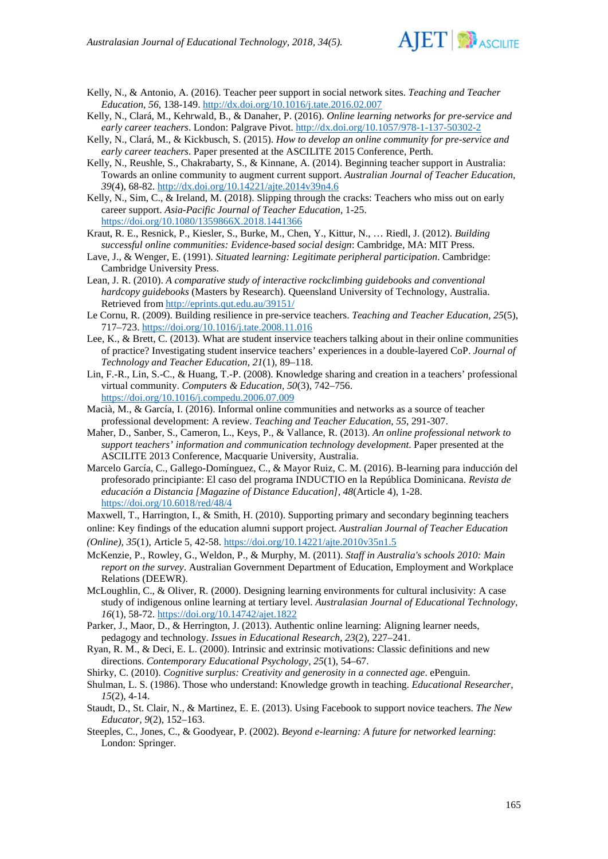

Kelly, N., & Antonio, A. (2016). Teacher peer support in social network sites. *Teaching and Teacher Education, 56*, 138-149[. http://dx.doi.org/10.1016/j.tate.2016.02.007](http://dx.doi.org/10.1016/j.tate.2016.02.007)

- Kelly, N., Clará, M., Kehrwald, B., & Danaher, P. (2016). *Online learning networks for pre-service and early career teachers*. London: Palgrave Pivot. <http://dx.doi.org/10.1057/978-1-137-50302-2>
- Kelly, N., Clará, M., & Kickbusch, S. (2015). *How to develop an online community for pre-service and early career teachers*. Paper presented at the ASCILITE 2015 Conference, Perth.
- Kelly, N., Reushle, S., Chakrabarty, S., & Kinnane, A. (2014). Beginning teacher support in Australia: Towards an online community to augment current support. *Australian Journal of Teacher Education, 39*(4), 68-82. <http://dx.doi.org/10.14221/ajte.2014v39n4.6>
- Kelly, N., Sim, C., & Ireland, M. (2018). Slipping through the cracks: Teachers who miss out on early career support. *Asia-Pacific Journal of Teacher Education*, 1-25. <https://doi.org/10.1080/1359866X.2018.1441366>
- Kraut, R. E., Resnick, P., Kiesler, S., Burke, M., Chen, Y., Kittur, N., … Riedl, J. (2012). *Building successful online communities: Evidence-based social design*: Cambridge, MA: MIT Press.
- Lave, J., & Wenger, E. (1991). *Situated learning: Legitimate peripheral participation*. Cambridge: Cambridge University Press.
- Lean, J. R. (2010). *A comparative study of interactive rockclimbing guidebooks and conventional hardcopy guidebooks* (Masters by Research). Queensland University of Technology, Australia. Retrieved fro[m http://eprints.qut.edu.au/39151/](http://eprints.qut.edu.au/39151/)
- Le Cornu, R. (2009). Building resilience in pre-service teachers. *Teaching and Teacher Education, 25*(5), 717–723.<https://doi.org/10.1016/j.tate.2008.11.016>
- Lee, K., & Brett, C. (2013). What are student inservice teachers talking about in their online communities of practice? Investigating student inservice teachers' experiences in a double-layered CoP. *Journal of Technology and Teacher Education, 21*(1), 89–118.
- Lin, F.-R., Lin, S.-C., & Huang, T.-P. (2008). Knowledge sharing and creation in a teachers' professional virtual community. *Computers & Education, 50*(3), 742–756. <https://doi.org/10.1016/j.compedu.2006.07.009>
- Macià, M., & García, I. (2016). Informal online communities and networks as a source of teacher professional development: A review. *Teaching and Teacher Education, 55*, 291-307.
- Maher, D., Sanber, S., Cameron, L., Keys, P., & Vallance, R. (2013). *An online professional network to support teachers' information and communication technology development*. Paper presented at the ASCILITE 2013 Conference, Macquarie University, Australia.
- Marcelo García, C., Gallego-Domínguez, C., & Mayor Ruiz, C. M. (2016). B-learning para inducción del profesorado principiante: El caso del programa INDUCTIO en la República Dominicana. *Revista de educación a Distancia [Magazine of Distance Education], 48*(Article 4), 1-28. <https://doi.org/10.6018/red/48/4>

Maxwell, T., Harrington, I., & Smith, H. (2010). Supporting primary and secondary beginning teachers online: Key findings of the education alumni support project. *Australian Journal of Teacher Education (Online), 35*(1), Article 5, 42-58. <https://doi.org/10.14221/ajte.2010v35n1.5>

McKenzie, P., Rowley, G., Weldon, P., & Murphy, M. (2011). *Staff in Australia's schools 2010: Main* 

- *report on the survey*. Australian Government Department of Education, Employment and Workplace Relations (DEEWR).
- McLoughlin, C., & Oliver, R. (2000). Designing learning environments for cultural inclusivity: A case study of indigenous online learning at tertiary level. *Australasian Journal of Educational Technology, 16*(1), 58-72.<https://doi.org/10.14742/ajet.1822>
- Parker, J., Maor, D., & Herrington, J. (2013). Authentic online learning: Aligning learner needs, pedagogy and technology. *Issues in Educational Research, 23*(2), 227–241.
- Ryan, R. M., & Deci, E. L. (2000). Intrinsic and extrinsic motivations: Classic definitions and new directions. *Contemporary Educational Psychology, 25*(1), 54–67.

Shirky, C. (2010). *Cognitive surplus: Creativity and generosity in a connected age*. ePenguin.

- Shulman, L. S. (1986). Those who understand: Knowledge growth in teaching. *Educational Researcher*, *15*(2), 4-14.
- Staudt, D., St. Clair, N., & Martinez, E. E. (2013). Using Facebook to support novice teachers. *The New Educator, 9*(2), 152–163.
- Steeples, C., Jones, C., & Goodyear, P. (2002). *Beyond e-learning: A future for networked learning*: London: Springer.